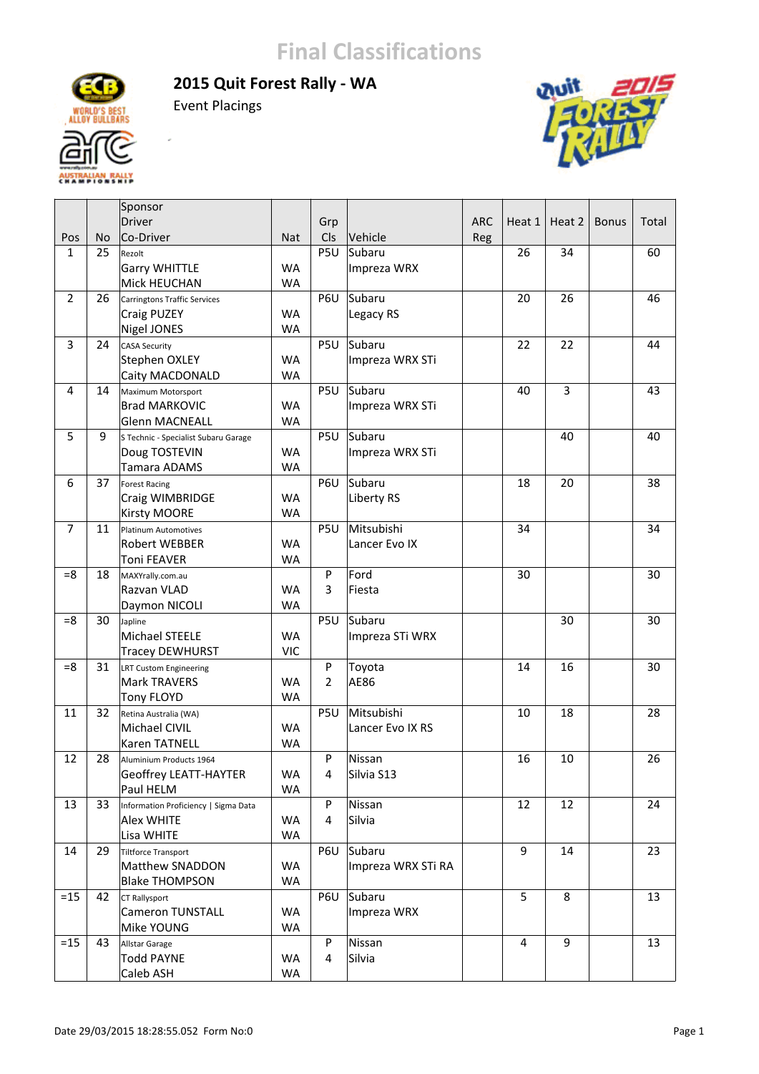**2015 Quit Forest Rally ‐ WA**



Event Placings

ĵ.



|                |           | Sponsor                              |            |                |                    |            |                  |                |              |       |
|----------------|-----------|--------------------------------------|------------|----------------|--------------------|------------|------------------|----------------|--------------|-------|
|                |           | Driver                               |            | Grp            |                    | <b>ARC</b> | Heat 1           | Heat 2         | <b>Bonus</b> | Total |
| Pos            | <b>No</b> | Co-Driver                            | <b>Nat</b> | Cls            | Vehicle            | Reg        |                  |                |              |       |
| $\mathbf{1}$   | 25        | Rezolt                               |            | P5U            | Subaru             |            | 26               | 34             |              | 60    |
|                |           | <b>Garry WHITTLE</b>                 | <b>WA</b>  |                | Impreza WRX        |            |                  |                |              |       |
|                |           | Mick HEUCHAN                         | WA         |                |                    |            |                  |                |              |       |
| $\overline{2}$ | 26        | <b>Carringtons Traffic Services</b>  |            | P6U            | Subaru             |            | 20               | 26             |              | 46    |
|                |           | Craig PUZEY                          | <b>WA</b>  |                | Legacy RS          |            |                  |                |              |       |
|                |           | Nigel JONES                          | <b>WA</b>  |                |                    |            |                  |                |              |       |
| 3              | 24        | <b>CASA Security</b>                 |            | P5U            | Subaru             |            | 22               | 22             |              | 44    |
|                |           | Stephen OXLEY                        | <b>WA</b>  |                | Impreza WRX STi    |            |                  |                |              |       |
|                |           | Caity MACDONALD                      | <b>WA</b>  |                |                    |            |                  |                |              |       |
| 4              | 14        | Maximum Motorsport                   |            | P5U            | Subaru             |            | 40               | $\overline{3}$ |              | 43    |
|                |           | <b>Brad MARKOVIC</b>                 | WA         |                | Impreza WRX STi    |            |                  |                |              |       |
|                |           | Glenn MACNEALL                       | <b>WA</b>  |                |                    |            |                  |                |              |       |
| 5              | 9         | S Technic - Specialist Subaru Garage |            | P5U            | Subaru             |            |                  | 40             |              | 40    |
|                |           | Doug TOSTEVIN                        | <b>WA</b>  |                | Impreza WRX STi    |            |                  |                |              |       |
|                |           | Tamara ADAMS                         | <b>WA</b>  |                |                    |            |                  |                |              |       |
| 6              | 37        | <b>Forest Racing</b>                 |            | P6U            | Subaru             |            | 18               | 20             |              | 38    |
|                |           | Craig WIMBRIDGE                      | WA         |                | Liberty RS         |            |                  |                |              |       |
|                |           | <b>Kirsty MOORE</b>                  | <b>WA</b>  |                |                    |            |                  |                |              |       |
| $\overline{7}$ | 11        | <b>Platinum Automotives</b>          |            | P5U            | Mitsubishi         |            | 34               |                |              | 34    |
|                |           | Robert WEBBER                        | <b>WA</b>  |                | Lancer Evo IX      |            |                  |                |              |       |
|                |           | <b>Toni FEAVER</b>                   | <b>WA</b>  |                |                    |            |                  |                |              |       |
| $=8$           | 18        | MAXYrally.com.au                     |            | P              | Ford               |            | 30               |                |              | 30    |
|                |           | Razvan VLAD                          | <b>WA</b>  | 3              | Fiesta             |            |                  |                |              |       |
|                |           | Daymon NICOLI                        | <b>WA</b>  |                |                    |            |                  |                |              |       |
| $= 8$          | 30        | Japline                              |            | P5U            | Subaru             |            |                  | 30             |              | 30    |
|                |           | Michael STEELE                       | <b>WA</b>  |                | Impreza STi WRX    |            |                  |                |              |       |
|                |           | <b>Tracey DEWHURST</b>               | <b>VIC</b> |                |                    |            |                  |                |              |       |
| $= 8$          | 31        | LRT Custom Engineering               |            | P              | Toyota             |            | 14               | 16             |              | 30    |
|                |           | Mark TRAVERS                         | <b>WA</b>  | $\overline{2}$ | AE86               |            |                  |                |              |       |
|                |           | Tony FLOYD                           | <b>WA</b>  |                |                    |            |                  |                |              |       |
| 11             | 32        | Retina Australia (WA)                |            | P5U            | Mitsubishi         |            | 10               | 18             |              | 28    |
|                |           | Michael CIVIL                        | <b>WA</b>  |                | Lancer Evo IX RS   |            |                  |                |              |       |
|                |           | <b>Karen TATNELL</b>                 | <b>WA</b>  |                |                    |            |                  |                |              |       |
| 12             | 28        | Aluminium Products 1964              |            | P              | Nissan             |            | 16               | 10             |              | 26    |
|                |           | <b>Geoffrey LEATT-HAYTER</b>         | <b>WA</b>  | 4              | Silvia S13         |            |                  |                |              |       |
|                |           | Paul HELM                            | WA         |                |                    |            |                  |                |              |       |
| 13             | 33        | Information Proficiency   Sigma Data |            | P              | Nissan             |            | 12               | 12             |              | 24    |
|                |           | Alex WHITE                           | WA         | 4              | Silvia             |            |                  |                |              |       |
|                |           | Lisa WHITE                           | WA         |                |                    |            |                  |                |              |       |
| 14             | 29        | <b>Tiltforce Transport</b>           |            | P6U            | Subaru             |            | $\boldsymbol{9}$ | 14             |              | 23    |
|                |           | Matthew SNADDON                      | WA         |                | Impreza WRX STi RA |            |                  |                |              |       |
|                |           | <b>Blake THOMPSON</b>                | WA         |                |                    |            |                  |                |              |       |
| $=15$          | 42        | CT Rallysport                        |            | P6U            | Subaru             |            | 5                | 8              |              | 13    |
|                |           | <b>Cameron TUNSTALL</b>              | WA         |                | Impreza WRX        |            |                  |                |              |       |
|                |           | Mike YOUNG                           | WA         |                |                    |            |                  |                |              |       |
| $=15$          | 43        | Allstar Garage                       |            | P              | Nissan             |            | $\overline{4}$   | 9              |              | 13    |
|                |           | <b>Todd PAYNE</b>                    | WA         | 4              | Silvia             |            |                  |                |              |       |
|                |           | Caleb ASH                            | WA         |                |                    |            |                  |                |              |       |